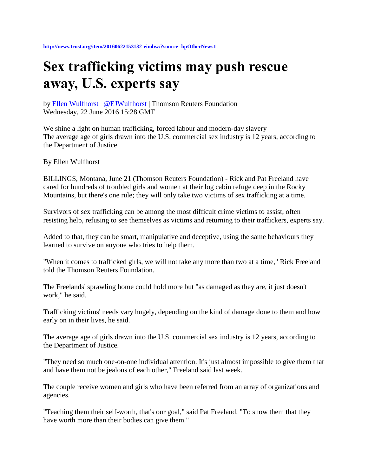## **Sex trafficking victims may push rescue away, U.S. experts say**

by [Ellen Wulfhorst](http://news.trust.org/profile/?id=003D000001uAJxYIAW) | [@EJWulfhorst](http://www.twitter.com/@EJWulfhorst) | Thomson Reuters Foundation Wednesday, 22 June 2016 15:28 GMT

We shine a light on human trafficking, forced labour and modern-day slavery The average age of girls drawn into the U.S. commercial sex industry is 12 years, according to the Department of Justice

By Ellen Wulfhorst

BILLINGS, Montana, June 21 (Thomson Reuters Foundation) - Rick and Pat Freeland have cared for hundreds of troubled girls and women at their log cabin refuge deep in the Rocky Mountains, but there's one rule; they will only take two victims of sex trafficking at a time.

Survivors of sex trafficking can be among the most difficult crime victims to assist, often resisting help, refusing to see themselves as victims and returning to their traffickers, experts say.

Added to that, they can be smart, manipulative and deceptive, using the same behaviours they learned to survive on anyone who tries to help them.

"When it comes to trafficked girls, we will not take any more than two at a time," Rick Freeland told the Thomson Reuters Foundation.

The Freelands' sprawling home could hold more but "as damaged as they are, it just doesn't work," he said.

Trafficking victims' needs vary hugely, depending on the kind of damage done to them and how early on in their lives, he said.

The average age of girls drawn into the U.S. commercial sex industry is 12 years, according to the Department of Justice.

"They need so much one-on-one individual attention. It's just almost impossible to give them that and have them not be jealous of each other," Freeland said last week.

The couple receive women and girls who have been referred from an array of organizations and agencies.

"Teaching them their self-worth, that's our goal," said Pat Freeland. "To show them that they have worth more than their bodies can give them."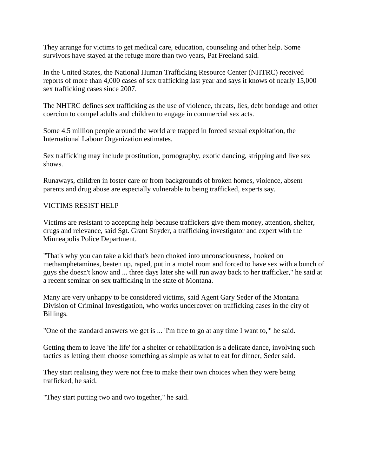They arrange for victims to get medical care, education, counseling and other help. Some survivors have stayed at the refuge more than two years, Pat Freeland said.

In the United States, the National Human Trafficking Resource Center (NHTRC) received reports of more than 4,000 cases of sex trafficking last year and says it knows of nearly 15,000 sex trafficking cases since 2007.

The NHTRC defines sex trafficking as the use of violence, threats, lies, debt bondage and other coercion to compel adults and children to engage in commercial sex acts.

Some 4.5 million people around the world are trapped in forced sexual exploitation, the International Labour Organization estimates.

Sex trafficking may include prostitution, pornography, exotic dancing, stripping and live sex shows.

Runaways, children in foster care or from backgrounds of broken homes, violence, absent parents and drug abuse are especially vulnerable to being trafficked, experts say.

## VICTIMS RESIST HELP

Victims are resistant to accepting help because traffickers give them money, attention, shelter, drugs and relevance, said Sgt. Grant Snyder, a trafficking investigator and expert with the Minneapolis Police Department.

"That's why you can take a kid that's been choked into unconsciousness, hooked on methamphetamines, beaten up, raped, put in a motel room and forced to have sex with a bunch of guys she doesn't know and ... three days later she will run away back to her trafficker," he said at a recent seminar on sex trafficking in the state of Montana.

Many are very unhappy to be considered victims, said Agent Gary Seder of the Montana Division of Criminal Investigation, who works undercover on trafficking cases in the city of Billings.

"One of the standard answers we get is ... 'I'm free to go at any time I want to,'" he said.

Getting them to leave 'the life' for a shelter or rehabilitation is a delicate dance, involving such tactics as letting them choose something as simple as what to eat for dinner, Seder said.

They start realising they were not free to make their own choices when they were being trafficked, he said.

"They start putting two and two together," he said.